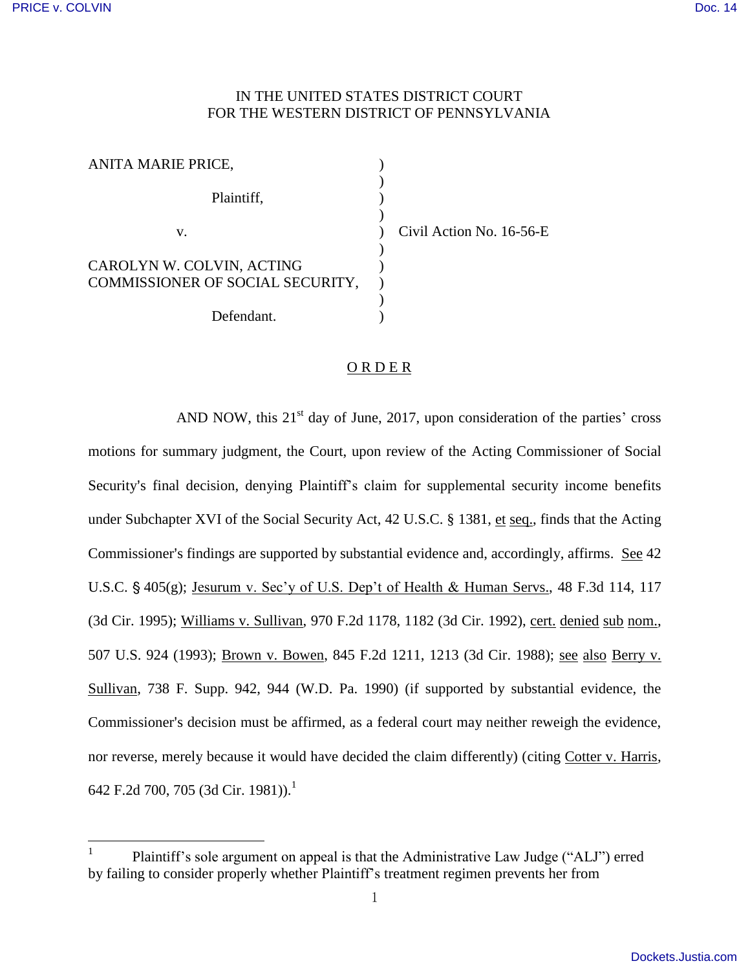$\overline{a}$ 

## IN THE UNITED STATES DISTRICT COURT FOR THE WESTERN DISTRICT OF PENNSYLVANIA

| ANITA MARIE PRICE,               |            |
|----------------------------------|------------|
| Plaintiff,                       |            |
| V.                               | Civil Acti |
| CAROLYN W. COLVIN, ACTING        |            |
| COMMISSIONER OF SOCIAL SECURITY, |            |
| Defendant.                       |            |

on No. 16-56-E

## ORDER

AND NOW, this  $21<sup>st</sup>$  day of June, 2017, upon consideration of the parties' cross motions for summary judgment, the Court, upon review of the Acting Commissioner of Social Security's final decision, denying Plaintiff's claim for supplemental security income benefits under Subchapter XVI of the Social Security Act, 42 U.S.C. § 1381, et seq., finds that the Acting Commissioner's findings are supported by substantial evidence and, accordingly, affirms. See 42 U.S.C.  $\S$  405(g); Jesurum v. Sec'y of U.S. Dep't of Health & Human Servs., 48 F.3d 114, 117 (3d Cir. 1995); Williams v. Sullivan, 970 F.2d 1178, 1182 (3d Cir. 1992), cert. denied sub nom., 507 U.S. 924 (1993); Brown v. Bowen, 845 F.2d 1211, 1213 (3d Cir. 1988); see also Berry v. Sullivan, 738 F. Supp. 942, 944 (W.D. Pa. 1990) (if supported by substantial evidence, the Commissioner's decision must be affirmed, as a federal court may neither reweigh the evidence, nor reverse, merely because it would have decided the claim differently) (citing Cotter v. Harris, 642 F.2d 700, 705 (3d Cir. 1981)).<sup>1</sup>

<sup>1</sup> Plaintiff's sole argument on appeal is that the Administrative Law Judge ("ALJ") erred by failing to consider properly whether Plaintiff's treatment regimen prevents her from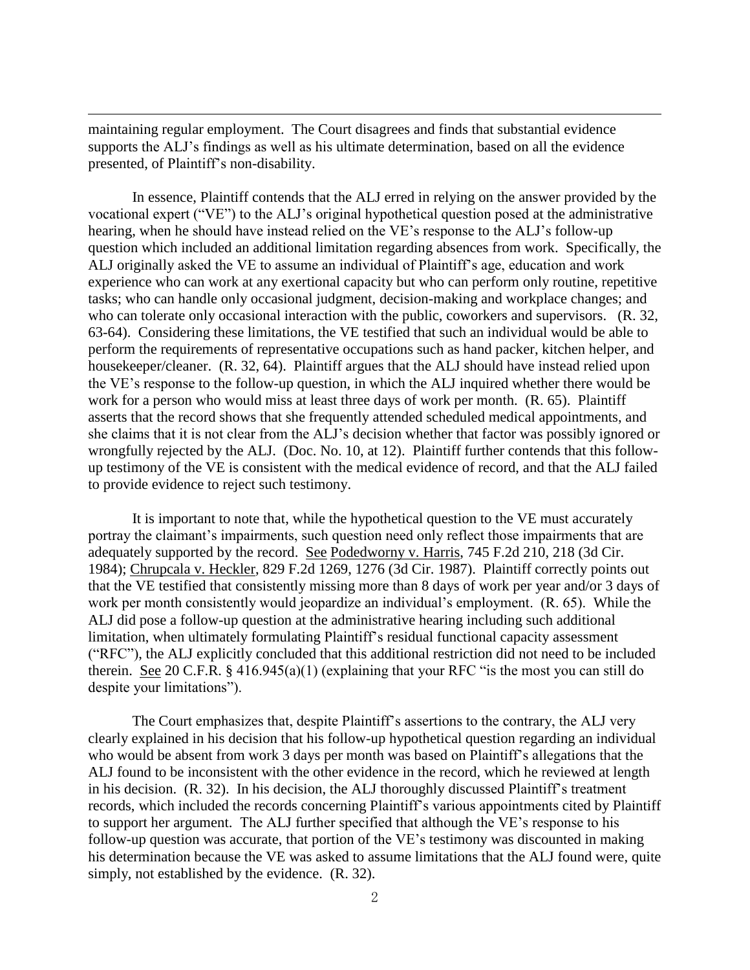maintaining regular employment. The Court disagrees and finds that substantial evidence supports the ALJ's findings as well as his ultimate determination, based on all the evidence presented, of Plaintiff's non-disability.

 $\overline{a}$ 

 In essence, Plaintiff contends that the ALJ erred in relying on the answer provided by the vocational expert ("VE") to the ALJ's original hypothetical question posed at the administrative hearing, when he should have instead relied on the VE's response to the ALJ's follow-up question which included an additional limitation regarding absences from work. Specifically, the ALJ originally asked the VE to assume an individual of Plaintiff's age, education and work experience who can work at any exertional capacity but who can perform only routine, repetitive tasks; who can handle only occasional judgment, decision-making and workplace changes; and who can tolerate only occasional interaction with the public, coworkers and supervisors. (R. 32, 63-64). Considering these limitations, the VE testified that such an individual would be able to perform the requirements of representative occupations such as hand packer, kitchen helper, and housekeeper/cleaner. (R. 32, 64). Plaintiff argues that the ALJ should have instead relied upon the VE's response to the follow-up question, in which the ALJ inquired whether there would be work for a person who would miss at least three days of work per month. (R. 65). Plaintiff asserts that the record shows that she frequently attended scheduled medical appointments, and she claims that it is not clear from the ALJ's decision whether that factor was possibly ignored or wrongfully rejected by the ALJ. (Doc. No. 10, at 12). Plaintiff further contends that this followup testimony of the VE is consistent with the medical evidence of record, and that the ALJ failed to provide evidence to reject such testimony.

It is important to note that, while the hypothetical question to the VE must accurately portray the claimant's impairments, such question need only reflect those impairments that are adequately supported by the record. See Podedworny v. Harris, 745 F.2d 210, 218 (3d Cir. 1984); Chrupcala v. Heckler, 829 F.2d 1269, 1276 (3d Cir. 1987). Plaintiff correctly points out that the VE testified that consistently missing more than 8 days of work per year and/or 3 days of work per month consistently would jeopardize an individual's employment. (R. 65). While the ALJ did pose a follow-up question at the administrative hearing including such additional limitation, when ultimately formulating Plaintiff's residual functional capacity assessment ("RFC"), the ALJ explicitly concluded that this additional restriction did not need to be included therein. See 20 C.F.R.  $\S$  416.945(a)(1) (explaining that your RFC "is the most you can still do despite your limitations").

The Court emphasizes that, despite Plaintiff's assertions to the contrary, the ALJ very clearly explained in his decision that his follow-up hypothetical question regarding an individual who would be absent from work 3 days per month was based on Plaintiff's allegations that the ALJ found to be inconsistent with the other evidence in the record, which he reviewed at length in his decision. (R. 32). In his decision, the ALJ thoroughly discussed Plaintiff's treatment records, which included the records concerning Plaintiff's various appointments cited by Plaintiff to support her argument. The ALJ further specified that although the VE's response to his follow-up question was accurate, that portion of the VE's testimony was discounted in making his determination because the VE was asked to assume limitations that the ALJ found were, quite simply, not established by the evidence. (R. 32).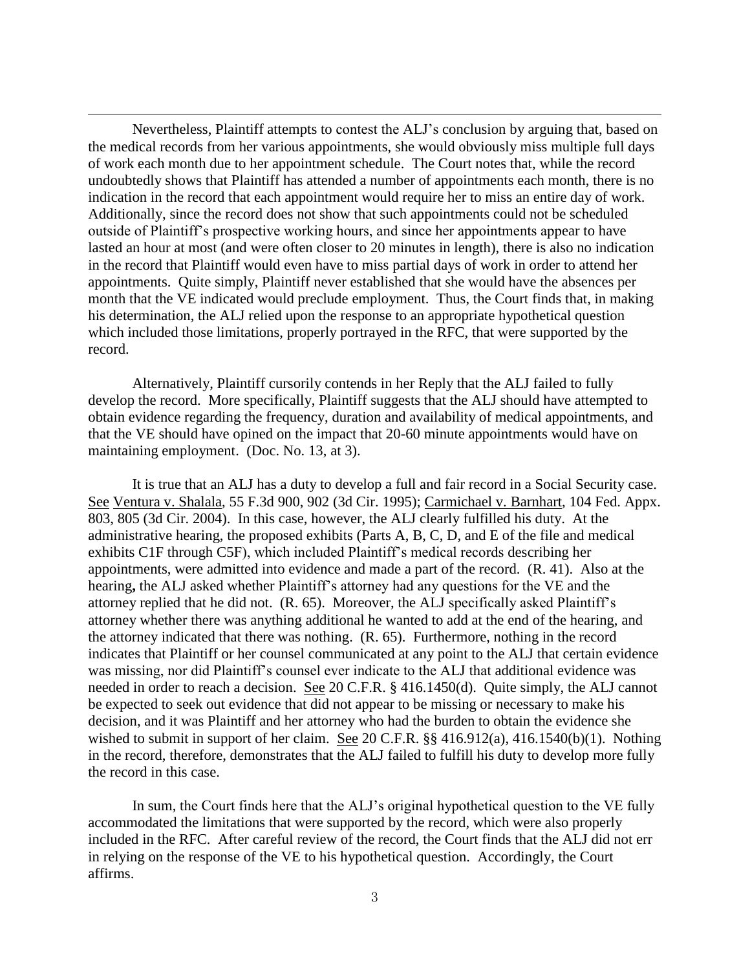Nevertheless, Plaintiff attempts to contest the ALJ's conclusion by arguing that, based on the medical records from her various appointments, she would obviously miss multiple full days of work each month due to her appointment schedule. The Court notes that, while the record undoubtedly shows that Plaintiff has attended a number of appointments each month, there is no indication in the record that each appointment would require her to miss an entire day of work. Additionally, since the record does not show that such appointments could not be scheduled outside of Plaintiff's prospective working hours, and since her appointments appear to have lasted an hour at most (and were often closer to 20 minutes in length), there is also no indication in the record that Plaintiff would even have to miss partial days of work in order to attend her appointments. Quite simply, Plaintiff never established that she would have the absences per month that the VE indicated would preclude employment. Thus, the Court finds that, in making his determination, the ALJ relied upon the response to an appropriate hypothetical question which included those limitations, properly portrayed in the RFC, that were supported by the record.

 $\overline{a}$ 

Alternatively, Plaintiff cursorily contends in her Reply that the ALJ failed to fully develop the record. More specifically, Plaintiff suggests that the ALJ should have attempted to obtain evidence regarding the frequency, duration and availability of medical appointments, and that the VE should have opined on the impact that 20-60 minute appointments would have on maintaining employment. (Doc. No. 13, at 3).

It is true that an ALJ has a duty to develop a full and fair record in a Social Security case. See Ventura v. Shalala, 55 F.3d 900, 902 (3d Cir. 1995); Carmichael v. Barnhart, 104 Fed. Appx. 803, 805 (3d Cir. 2004). In this case, however, the ALJ clearly fulfilled his duty. At the administrative hearing, the proposed exhibits (Parts A, B, C, D, and E of the file and medical exhibits C1F through C5F), which included Plaintiff's medical records describing her appointments, were admitted into evidence and made a part of the record. (R. 41). Also at the hearing**,** the ALJ asked whether Plaintiff's attorney had any questions for the VE and the attorney replied that he did not. (R. 65). Moreover, the ALJ specifically asked Plaintiff's attorney whether there was anything additional he wanted to add at the end of the hearing, and the attorney indicated that there was nothing. (R. 65). Furthermore, nothing in the record indicates that Plaintiff or her counsel communicated at any point to the ALJ that certain evidence was missing, nor did Plaintiff's counsel ever indicate to the ALJ that additional evidence was needed in order to reach a decision. See 20 C.F.R. § 416.1450(d). Quite simply, the ALJ cannot be expected to seek out evidence that did not appear to be missing or necessary to make his decision, and it was Plaintiff and her attorney who had the burden to obtain the evidence she wished to submit in support of her claim. See 20 C.F.R. §§ 416.912(a), 416.1540(b)(1). Nothing in the record, therefore, demonstrates that the ALJ failed to fulfill his duty to develop more fully the record in this case.

 In sum, the Court finds here that the ALJ's original hypothetical question to the VE fully accommodated the limitations that were supported by the record, which were also properly included in the RFC. After careful review of the record, the Court finds that the ALJ did not err in relying on the response of the VE to his hypothetical question. Accordingly, the Court affirms.